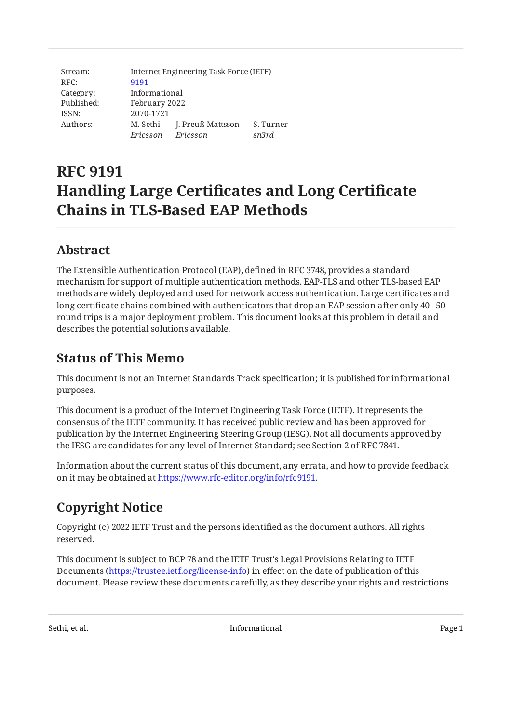| Stream:    | Internet Engineering Task Force (IETF) |                   |           |
|------------|----------------------------------------|-------------------|-----------|
| RFC:       | 9191                                   |                   |           |
| Category:  | Informational                          |                   |           |
| Published: | February 2022                          |                   |           |
| ISSN:      | 2070-1721                              |                   |           |
| Authors:   | M. Sethi                               | J. Preuß Mattsson | S. Turner |
|            | Ericsson                               | Ericsson          | sn3rd     |

# **RFC 9191 Handling Large Certificates and Long Certificate Chains in TLS‑Based EAP Methods**

# <span id="page-0-0"></span>**[Abstract](#page-0-0)**

The Extensible Authentication Protocol (EAP), defined in RFC 3748, provides a standard mechanism for support of multiple authentication methods. EAP-TLS and other TLS-based EAP methods are widely deployed and used for network access authentication. Large certificates and long certificate chains combined with authenticators that drop an EAP session after only 40 - 50 round trips is a major deployment problem. This document looks at this problem in detail and describes the potential solutions available.

# <span id="page-0-1"></span>**[Status of This Memo](#page-0-1)**

This document is not an Internet Standards Track specification; it is published for informational purposes.

This document is a product of the Internet Engineering Task Force (IETF). It represents the consensus of the IETF community. It has received public review and has been approved for publication by the Internet Engineering Steering Group (IESG). Not all documents approved by the IESG are candidates for any level of Internet Standard; see Section 2 of RFC 7841.

Information about the current status of this document, any errata, and how to provide feedback on it may be obtained at [https://www.rfc-editor.org/info/rfc9191.](https://www.rfc-editor.org/info/rfc9191)

# <span id="page-0-2"></span>**[Copyright Notice](#page-0-2)**

Copyright (c) 2022 IETF Trust and the persons identified as the document authors. All rights reserved.

This document is subject to BCP 78 and the IETF Trust's Legal Provisions Relating to IETF Documents (<https://trustee.ietf.org/license-info>) in effect on the date of publication of this document. Please review these documents carefully, as they describe your rights and restrictions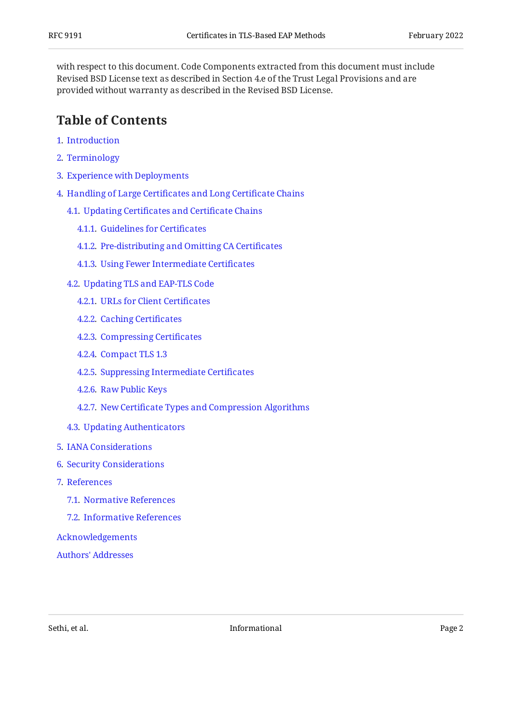with respect to this document. Code Components extracted from this document must include Revised BSD License text as described in Section 4.e of the Trust Legal Provisions and are provided without warranty as described in the Revised BSD License.

### <span id="page-1-0"></span>**[Table of Contents](#page-1-0)**

- [1](#page-2-0). [Introduction](#page-2-0)
- [2](#page-3-0). [Terminology](#page-3-0)
- [3](#page-3-1). [Experience with Deployments](#page-3-1)
- [4](#page-4-0). [Handling of Large Certi](#page-4-0)ficates and Long Certificate Chains
	- [4.1.](#page-4-1) Updating Certifi[cates and Certi](#page-4-1)ficate Chains
		- [4.1.1](#page-4-2). [Guidelines for Certi](#page-4-2)ficates
		- [4.1.2](#page-5-0). [Pre-distributing and Omitting CA Certi](#page-5-0)ficates
		- [4.1.3](#page-5-1). [Using Fewer Intermediate Certi](#page-5-1)ficates
	- [4.2.](#page-6-0) [Updating TLS and EAP-TLS Code](#page-6-0)
		- [4.2.1](#page-6-1). [URLs for Client Certi](#page-6-1)ficates
		- [4.2.2](#page-6-2). [Caching Certi](#page-6-2)ficates
		- [4.2.3](#page-6-3). [Compressing Certi](#page-6-3)ficates
		- [4.2.4](#page-7-0). [Compact TLS 1.3](#page-7-0)
		- [4.2.5](#page-7-1). [Suppressing Intermediate Certi](#page-7-1)ficates
		- [4.2.6](#page-7-2). [Raw Public Keys](#page-7-2)
		- [4.2.7](#page-8-0). New Certifi[cate Types and Compression Algorithms](#page-8-0)
	- [4.3.](#page-8-1) [Updating Authenticators](#page-8-1)
- [5](#page-8-2). [IANA Considerations](#page-8-2)
- [6](#page-8-3). [Security Considerations](#page-8-3)
- [7](#page-9-0). [References](#page-9-0)
	- [7.1.](#page-9-1) [Normative References](#page-9-1)
	- [7.2.](#page-9-2) [Informative References](#page-9-2)

#### [Acknowledgements](#page-11-0)

[Authors' Addresses](#page-11-1)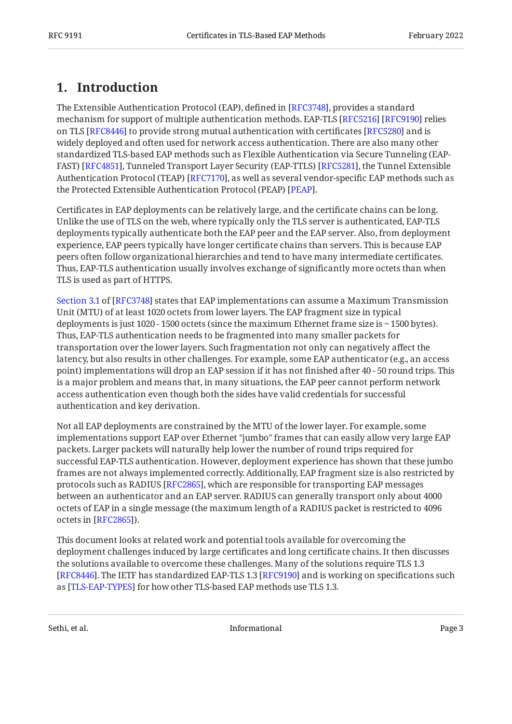# <span id="page-2-0"></span>**[1. Introduction](#page-2-0)**

The Extensible Authentication Protocol (EAP), defined in [[RFC3748\]](#page-9-3), provides a standard mechanism for support of multiple authentication methods. EAP-TLS [RFC5216] [RFC9190] relies on TLS [RFC8446] to provide strong mutual authentication with certificates [RFC5280] and is widely deployed and often used for network access authentication. There are also many other standardized TLS-based EAP methods such as Flexible Authentication via Secure Tunneling (EAP-FAST) [RFC4851], Tunneled Transport Layer Security (EAP-TTLS) [RFC5281], the Tunnel Extensible Authentication Protocol (TEAP) [RFC7170], as well as several vendor-specific EAP methods such as the Protected Extensible Authentication Protocol (PEAP) [PEAP].

Certificates in EAP deployments can be relatively large, and the certificate chains can be long. Unlike the use of TLS on the web, where typically only the TLS server is authenticated, EAP-TLS deployments typically authenticate both the EAP peer and the EAP server. Also, from deployment experience, EAP peers typically have longer certificate chains than servers. This is because EAP peers often follow organizational hierarchies and tend to have many intermediate certificates. Thus, EAP-TLS authentication usually involves exchange of significantly more octets than when TLS is used as part of HTTPS.

[Section 3.1](https://www.rfc-editor.org/rfc/rfc3748#section-3.1) of [\[RFC3748\]](#page-9-3) states that EAP implementations can assume a Maximum Transmission Unit (MTU) of at least 1020 octets from lower layers. The EAP fragment size in typical deployments is just 1020 - 1500 octets (since the maximum Ethernet frame size is ~ 1500 bytes). Thus, EAP-TLS authentication needs to be fragmented into many smaller packets for transportation over the lower layers. Such fragmentation not only can negatively affect the latency, but also results in other challenges. For example, some EAP authenticator (e.g., an access point) implementations will drop an EAP session if it has not finished after 40 - 50 round trips. This is a major problem and means that, in many situations, the EAP peer cannot perform network access authentication even though both the sides have valid credentials for successful authentication and key derivation.

Not all EAP deployments are constrained by the MTU of the lower layer. For example, some implementations support EAP over Ethernet "jumbo" frames that can easily allow very large EAP packets. Larger packets will naturally help lower the number of round trips required for successful EAP-TLS authentication. However, deployment experience has shown that these jumbo frames are not always implemented correctly. Additionally, EAP fragment size is also restricted by protocols such as RADIUS [RFC2865], which are responsible for transporting EAP messages between an authenticator and an EAP server. RADIUS can generally transport only about 4000 octets of EAP in a single message (the maximum length of a RADIUS packet is restricted to 4096 octets in [RFC2865]).

This document looks at related work and potential tools available for overcoming the deployment challenges induced by large certificates and long certificate chains. It then discusses the solutions available to overcome these challenges. Many of the solutions require TLS 1.3 [[RFC8446\]](#page-9-6). The IETF has standardized EAP-TLS 1.3 [RFC9190] and is working on specifications such as [\[TLS-EAP-TYPES](#page-11-2)] for how other TLS-based EAP methods use TLS 1.3.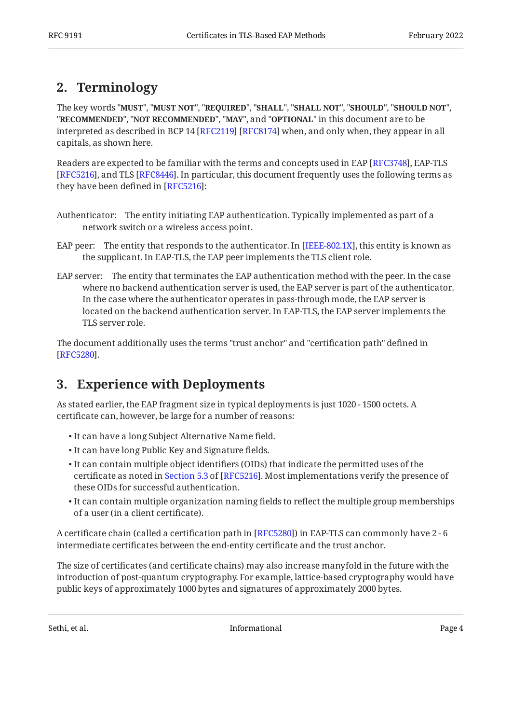# <span id="page-3-0"></span>**[2. Terminology](#page-3-0)**

The key words "MUST", "MUST NOT", "REQUIRED", "SHALL", "SHALL NOT", "SHOULD", "SHOULD NOT", "**RECOMMENDED", "NOT RECOMMENDED", "MAY",** and "OPTIONAL" in this document are to be interpreted as described in BCP 14 [RFC2119] [RFC8174] when, and only when, they appear in all capitals, as shown here.

Readers are expected to be familiar with the terms and concepts used in EAP [RFC3748], EAP-TLS [[RFC5216\]](#page-9-4), and TLS [RFC8446]. In particular, this document frequently uses the following terms as they have been defined in  $[RFC5216]$ :

- Authenticator: The entity initiating EAP authentication. Typically implemented as part of a network switch or a wireless access point.
- EAP peer: The entity that responds to the authenticator. In [IEEE-802.1X], this entity is known as the supplicant. In EAP-TLS, the EAP peer implements the TLS client role.
- EAP server: The entity that terminates the EAP authentication method with the peer. In the case where no backend authentication server is used, the EAP server is part of the authenticator. In the case where the authenticator operates in pass-through mode, the EAP server is located on the backend authentication server. In EAP-TLS, the EAP server implements the TLS server role.

<span id="page-3-1"></span>The document additionally uses the terms "trust anchor" and "certification path" defined in . [[RFC5280\]](#page-9-7)

# **[3. Experience with Deployments](#page-3-1)**

As stated earlier, the EAP fragment size in typical deployments is just 1020 - 1500 octets. A certificate can, however, be large for a number of reasons:

- It can have a long Subject Alternative Name field. •
- It can have long Public Key and Signature fields. •
- $\bullet$  It can contain multiple object identifiers (OIDs) that indicate the permitted uses of the certificateas noted in Section 5.3 of [RFC5216]. Most implementations verify the presence of these OIDs for successful authentication.
- $\bullet$  It can contain multiple organization naming fields to reflect the multiple group memberships of a user (in a client certificate).

A certificate chain (called a certification path in [\[RFC5280\]](#page-9-7)) in EAP-TLS can commonly have 2 - 6 intermediate certificates between the end-entity certificate and the trust anchor.

The size of certificates (and certificate chains) may also increase manyfold in the future with the introduction of post-quantum cryptography. For example, lattice-based cryptography would have public keys of approximately 1000 bytes and signatures of approximately 2000 bytes.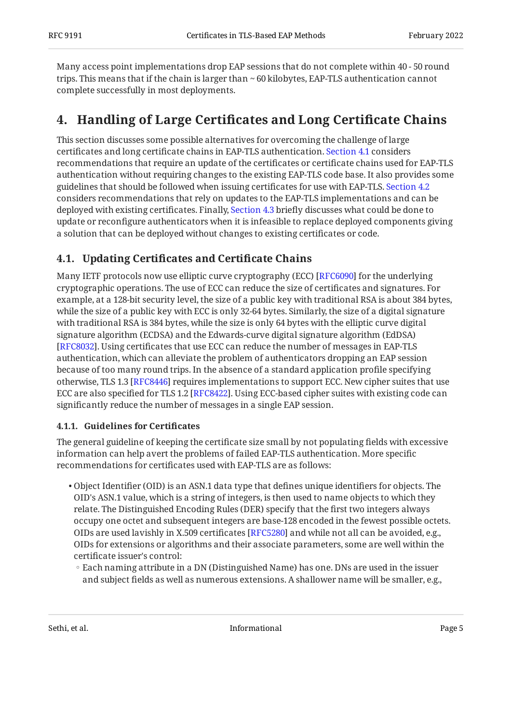Many access point implementations drop EAP sessions that do not complete within 40 - 50 round trips. This means that if the chain is larger than ~ 60 kilobytes, EAP-TLS authentication cannot complete successfully in most deployments.

# <span id="page-4-0"></span>**[4. Handling of Large Certi](#page-4-0)ficates and Long Certificate Chains**

This section discusses some possible alternatives for overcoming the challenge of large certificates and long certificate chains in EAP-TLS authentication. [Section 4.1](#page-4-1) considers recommendations that require an update of the certificates or certificate chains used for EAP-TLS authentication without requiring changes to the existing EAP-TLS code base. It also provides some guidelines that should be followed when issuing certificates for use with EAP-TLS. [Section 4.2](#page-6-0) considers recommendations that rely on updates to the EAP-TLS implementations and can be deployed with existing certificates. Finally, [Section 4.3](#page-8-1) briefly discusses what could be done to update or reconfigure authenticators when it is infeasible to replace deployed components giving a solution that can be deployed without changes to existing certificates or code.

### <span id="page-4-1"></span>**[4.1. U](#page-4-1)pdating Certifi[cates and Certi](#page-4-1)ficate Chains**

Many IETF protocols now use elliptic curve cryptography (ECC) [RFC6090] for the underlying cryptographic operations. The use of ECC can reduce the size of certificates and signatures. For example, at a 128-bit security level, the size of a public key with traditional RSA is about 384 bytes, while the size of a public key with ECC is only 32-64 bytes. Similarly, the size of a digital signature with traditional RSA is 384 bytes, while the size is only 64 bytes with the elliptic curve digital signature algorithm (ECDSA) and the Edwards-curve digital signature algorithm (EdDSA) [[RFC8032\]](#page-10-4). Using certificates that use ECC can reduce the number of messages in EAP-TLS authentication, which can alleviate the problem of authenticators dropping an EAP session because of too many round trips. In the absence of a standard application profile specifying otherwise, TLS 1.3 [RFC8446] requires implementations to support ECC. New cipher suites that use ECC are also specified for TLS 1.2 [RFC8422]. Using ECC-based cipher suites with existing code can significantly reduce the number of messages in a single EAP session.

#### <span id="page-4-2"></span>**[4.1.1. Guidelines for Certi](#page-4-2)ficates**

The general guideline of keeping the certificate size small by not populating fields with excessive information can help avert the problems of failed EAP-TLS authentication. More specific recommendations for certificates used with EAP-TLS are as follows:

- $\bullet$  Object Identifier (OID) is an ASN.1 data type that defines unique identifiers for objects. The OID's ASN.1 value, which is a string of integers, is then used to name objects to which they relate. The Distinguished Encoding Rules (DER) specify that the first two integers always occupy one octet and subsequent integers are base-128 encoded in the fewest possible octets. OIDs are used lavishly in X.509 certificates [RFC5280] and while not all can be avoided, e.g., OIDs for extensions or algorithms and their associate parameters, some are well within the certificate issuer's control:
- Each naming attribute in a DN (Distinguished Name) has one. DNs are used in the issuer and subject fields as well as numerous extensions. A shallower name will be smaller, e.g.,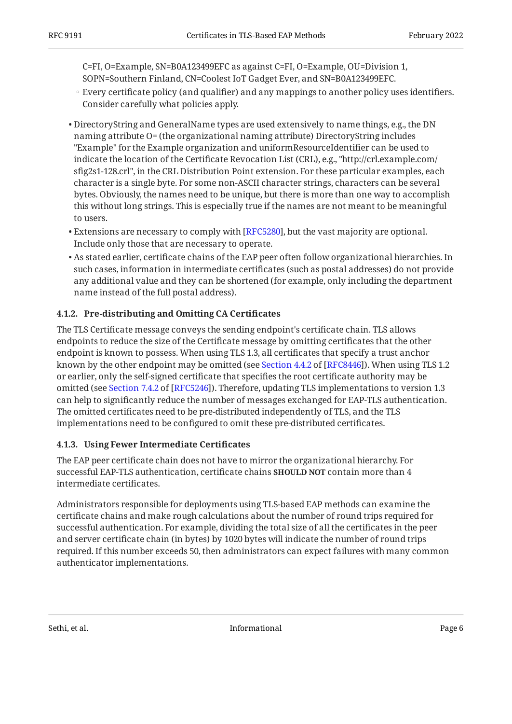C=FI, O=Example, SN=B0A123499EFC as against C=FI, O=Example, OU=Division 1, SOPN=Southern Finland, CN=Coolest IoT Gadget Ever, and SN=B0A123499EFC.

- Every certificate policy (and qualifier) and any mappings to another policy uses identifiers. Consider carefully what policies apply.
- DirectoryString and GeneralName types are used extensively to name things, e.g., the DN naming attribute O= (the organizational naming attribute) DirectoryString includes "Example" for the Example organization and uniformResourceIdentifier can be used to indicate the location of the Certificate Revocation List (CRL), e.g., "http://crl.example.com/ sfig2s1-128.crl", in the CRL Distribution Point extension. For these particular examples, each character is a single byte. For some non-ASCII character strings, characters can be several bytes. Obviously, the names need to be unique, but there is more than one way to accomplish this without long strings. This is especially true if the names are not meant to be meaningful to users.
- $\bullet$  Extensions are necessary to comply with [\[RFC5280\]](#page-9-7), but the vast majority are optional. Include only those that are necessary to operate.
- $\bullet$  As stated earlier, certificate chains of the EAP peer often follow organizational hierarchies. In such cases, information in intermediate certificates (such as postal addresses) do not provide any additional value and they can be shortened (for example, only including the department name instead of the full postal address).

#### <span id="page-5-0"></span>**[4.1.2. Pre-distributing and Omitting CA Certi](#page-5-0)ficates**

The TLS Certificate message conveys the sending endpoint's certificate chain. TLS allows endpoints to reduce the size of the Certificate message by omitting certificates that the other endpoint is known to possess. When using TLS 1.3, all certificates that specify a trust anchor knownby the other endpoint may be omitted (see Section  $4.4.2$  of [RFC8446]). When using TLS 1.2  $\,$ or earlier, only the self-signed certificate that specifies the root certificate authority may be omitted(see Section 7.4.2 of [RFC5246]). Therefore, updating TLS implementations to version 1.3 can help to significantly reduce the number of messages exchanged for EAP-TLS authentication. The omitted certificates need to be pre-distributed independently of TLS, and the TLS implementations need to be configured to omit these pre-distributed certificates.

#### <span id="page-5-1"></span>**[4.1.3. Using Fewer Intermediate Certi](#page-5-1)ficates**

The EAP peer certificate chain does not have to mirror the organizational hierarchy. For successful EAP-TLS authentication, certificate chains **SHOULD NOT** contain more than 4 intermediate certificates.

Administrators responsible for deployments using TLS-based EAP methods can examine the certificate chains and make rough calculations about the number of round trips required for successful authentication. For example, dividing the total size of all the certificates in the peer and server certificate chain (in bytes) by 1020 bytes will indicate the number of round trips required. If this number exceeds 50, then administrators can expect failures with many common authenticator implementations.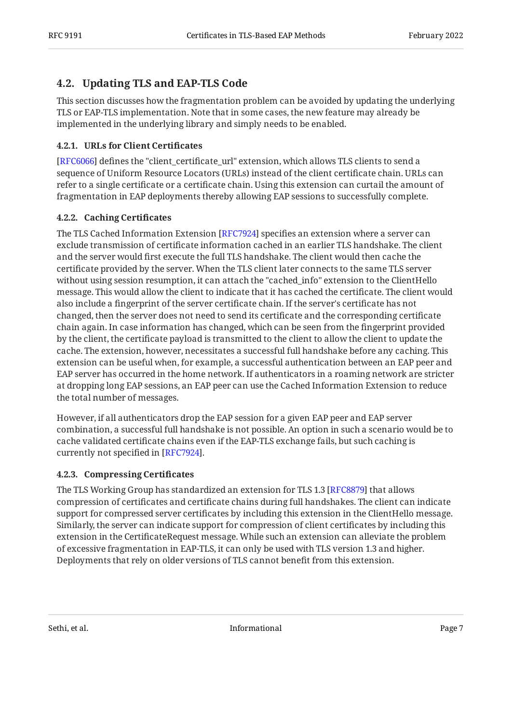### <span id="page-6-0"></span>**[4.2. Updating TLS and EAP-TLS Code](#page-6-0)**

This section discusses how the fragmentation problem can be avoided by updating the underlying TLS or EAP-TLS implementation. Note that in some cases, the new feature may already be implemented in the underlying library and simply needs to be enabled.

#### <span id="page-6-1"></span>**[4.2.1. URLs for Client Certi](#page-6-1)ficates**

[[RFC6066\]](#page-10-6) defines the "client\_certificate\_url" extension, which allows TLS clients to send a sequence of Uniform Resource Locators (URLs) instead of the client certificate chain. URLs can refer to a single certificate or a certificate chain. Using this extension can curtail the amount of fragmentation in EAP deployments thereby allowing EAP sessions to successfully complete.

#### <span id="page-6-2"></span>**[4.2.2. Caching Certi](#page-6-2)ficates**

The TLS Cached Information Extension [RFC7924] specifies an extension where a server can exclude transmission of certificate information cached in an earlier TLS handshake. The client and the server would first execute the full TLS handshake. The client would then cache the certificate provided by the server. When the TLS client later connects to the same TLS server without using session resumption, it can attach the "cached\_info" extension to the ClientHello message. This would allow the client to indicate that it has cached the certificate. The client would also include a fingerprint of the server certificate chain. If the server's certificate has not changed, then the server does not need to send its certificate and the corresponding certificate chain again. In case information has changed, which can be seen from the fingerprint provided by the client, the certificate payload is transmitted to the client to allow the client to update the cache. The extension, however, necessitates a successful full handshake before any caching. This extension can be useful when, for example, a successful authentication between an EAP peer and EAP server has occurred in the home network. If authenticators in a roaming network are stricter at dropping long EAP sessions, an EAP peer can use the Cached Information Extension to reduce the total number of messages.

However, if all authenticators drop the EAP session for a given EAP peer and EAP server combination, a successful full handshake is not possible. An option in such a scenario would be to cache validated certificate chains even if the EAP-TLS exchange fails, but such caching is currently not specified in [[RFC7924\]](#page-10-7).

#### <span id="page-6-3"></span>**[4.2.3. Compressing Certi](#page-6-3)ficates**

The TLS Working Group has standardized an extension for TLS 1.3 [RFC8879] that allows compression of certificates and certificate chains during full handshakes. The client can indicate support for compressed server certificates by including this extension in the ClientHello message. Similarly, the server can indicate support for compression of client certificates by including this extension in the CertificateRequest message. While such an extension can alleviate the problem of excessive fragmentation in EAP-TLS, it can only be used with TLS version 1.3 and higher. Deployments that rely on older versions of TLS cannot benefit from this extension.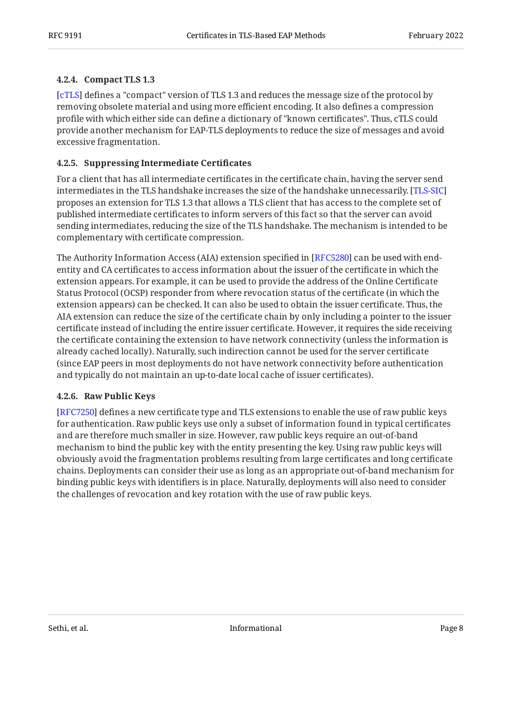#### <span id="page-7-0"></span>**[4.2.4. Compact TLS 1.3](#page-7-0)**

[[cTLS](#page-10-8)] defines a "compact" version of TLS 1.3 and reduces the message size of the protocol by removing obsolete material and using more efficient encoding. It also defines a compression profile with which either side can define a dictionary of "known certificates". Thus, cTLS could provide another mechanism for EAP-TLS deployments to reduce the size of messages and avoid excessive fragmentation.

#### <span id="page-7-1"></span>**[4.2.5. Suppressing Intermediate Certi](#page-7-1)ficates**

For a client that has all intermediate certificates in the certificate chain, having the server send intermediates in the TLS handshake increases the size of the handshake unnecessarily. [[TLS-SIC\]](#page-11-5) proposes an extension for TLS 1.3 that allows a TLS client that has access to the complete set of published intermediate certificates to inform servers of this fact so that the server can avoid sending intermediates, reducing the size of the TLS handshake. The mechanism is intended to be complementary with certificate compression.

The Authority Information Access (AIA) extension specified in [RFC5280] can be used with endentity and CA certificates to access information about the issuer of the certificate in which the extension appears. For example, it can be used to provide the address of the Online Certificate Status Protocol (OCSP) responder from where revocation status of the certificate (in which the extension appears) can be checked. It can also be used to obtain the issuer certificate. Thus, the AIA extension can reduce the size of the certificate chain by only including a pointer to the issuer certificate instead of including the entire issuer certificate. However, it requires the side receiving the certificate containing the extension to have network connectivity (unless the information is already cached locally). Naturally, such indirection cannot be used for the server certificate (since EAP peers in most deployments do not have network connectivity before authentication and typically do not maintain an up-to-date local cache of issuer certificates).

#### <span id="page-7-2"></span>**[4.2.6. Raw Public Keys](#page-7-2)**

[[RFC7250\]](#page-10-9) defines a new certificate type and TLS extensions to enable the use of raw public keys for authentication. Raw public keys use only a subset of information found in typical certificates and are therefore much smaller in size. However, raw public keys require an out-of-band mechanism to bind the public key with the entity presenting the key. Using raw public keys will obviously avoid the fragmentation problems resulting from large certificates and long certificate chains. Deployments can consider their use as long as an appropriate out-of-band mechanism for binding public keys with identifiers is in place. Naturally, deployments will also need to consider the challenges of revocation and key rotation with the use of raw public keys.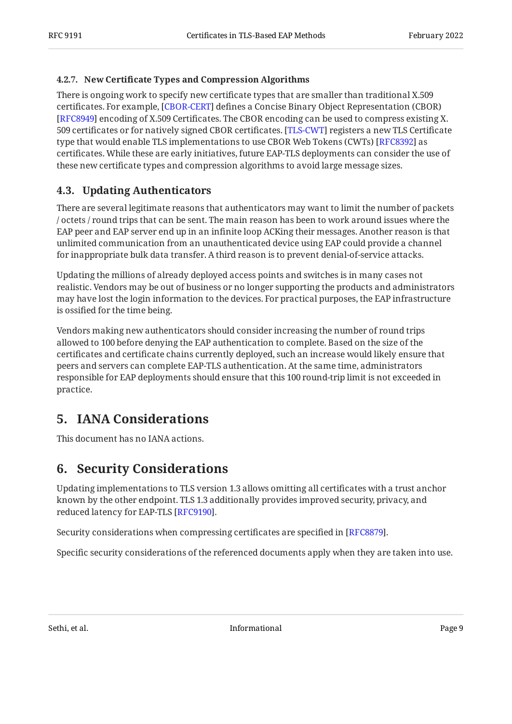#### <span id="page-8-0"></span>**[4.2.7. N](#page-8-0)ew Certifi[cate Types and Compression Algorithms](#page-8-0)**

There is ongoing work to specify new certificate types that are smaller than traditional X.509 certificates. For example, [CBOR-CERT] defines a Concise Binary Object Representation (CBOR) [[RFC8949\]](#page-11-6) encoding of X.509 Certificates. The CBOR encoding can be used to compress existing X. 509 certificates or for natively signed CBOR certificates. [TLS-CWT] registers a new TLS Certificate type that would enable TLS implementations to use CBOR Web Tokens (CWTs) [RFC8392] as certificates. While these are early initiatives, future EAP-TLS deployments can consider the use of these new certificate types and compression algorithms to avoid large message sizes.

### <span id="page-8-1"></span>**[4.3. Updating Authenticators](#page-8-1)**

There are several legitimate reasons that authenticators may want to limit the number of packets / octets / round trips that can be sent. The main reason has been to work around issues where the EAP peer and EAP server end up in an infinite loop ACKing their messages. Another reason is that unlimited communication from an unauthenticated device using EAP could provide a channel for inappropriate bulk data transfer. A third reason is to prevent denial-of-service attacks.

Updating the millions of already deployed access points and switches is in many cases not realistic. Vendors may be out of business or no longer supporting the products and administrators may have lost the login information to the devices. For practical purposes, the EAP infrastructure is ossified for the time being.

Vendors making new authenticators should consider increasing the number of round trips allowed to 100 before denying the EAP authentication to complete. Based on the size of the certificates and certificate chains currently deployed, such an increase would likely ensure that peers and servers can complete EAP-TLS authentication. At the same time, administrators responsible for EAP deployments should ensure that this 100 round-trip limit is not exceeded in practice.

# <span id="page-8-2"></span>**[5. IANA Considerations](#page-8-2)**

<span id="page-8-3"></span>This document has no IANA actions.

# **[6. Security Considerations](#page-8-3)**

Updating implementations to TLS version 1.3 allows omitting all certificates with a trust anchor known by the other endpoint. TLS 1.3 additionally provides improved security, privacy, and reduced latency for EAP-TLS [RFC9190].

Security considerations when compressing certificates are specified in [[RFC8879\]](#page-11-4).

Specific security considerations of the referenced documents apply when they are taken into use.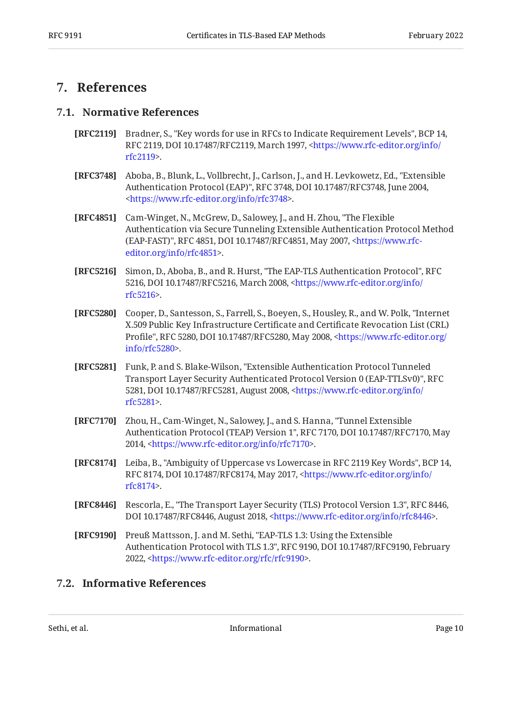### <span id="page-9-1"></span><span id="page-9-0"></span>**[7. References](#page-9-0)**

#### **[7.1. Normative References](#page-9-1)**

- <span id="page-9-11"></span>**[RFC2119]** Bradner, S., "Key words for use in RFCs to Indicate Requirement Levels", BCP 14, RFC 2119, DOI 10.17487/RFC2119, March 1997, [<https://www.rfc-editor.org/info/](https://www.rfc-editor.org/info/rfc2119) . [rfc2119](https://www.rfc-editor.org/info/rfc2119)>
- <span id="page-9-3"></span>**[RFC3748]** Aboba, B., Blunk, L., Vollbrecht, J., Carlson, J., and H. Levkowetz, Ed., "Extensible Authentication Protocol (EAP)", RFC 3748, DOI 10.17487/RFC3748, June 2004, . [<https://www.rfc-editor.org/info/rfc3748](https://www.rfc-editor.org/info/rfc3748)>
- <span id="page-9-8"></span>**[RFC4851]** Cam-Winget, N., McGrew, D., Salowey, J., and H. Zhou, "The Flexible (EAP-FAST)", RFC 4851, DOI 10.17487/RFC4851, May 2007, [<https://www.rfc-](https://www.rfc-editor.org/info/rfc4851). [editor.org/info/rfc4851](https://www.rfc-editor.org/info/rfc4851)> Authentication via Secure Tunneling Extensible Authentication Protocol Method
- <span id="page-9-4"></span>**[RFC5216]** Simon, D., Aboba, B., and R. Hurst, "The EAP-TLS Authentication Protocol", RFC 5216, DOI 10.17487/RFC5216, March 2008, [<https://www.rfc-editor.org/info/](https://www.rfc-editor.org/info/rfc5216) . [rfc5216](https://www.rfc-editor.org/info/rfc5216)>
- <span id="page-9-7"></span>**[RFC5280]** Cooper, D., Santesson, S., Farrell, S., Boeyen, S., Housley, R., and W. Polk, "Internet Profile", RFC 5280, DOI 10.17487/RFC5280, May 2008, [<https://www.rfc-editor.org/](https://www.rfc-editor.org/info/rfc5280) . [info/rfc5280>](https://www.rfc-editor.org/info/rfc5280) X.509 Public Key Infrastructure Certificate and Certificate Revocation List (CRL)
- <span id="page-9-9"></span>**[RFC5281]** Funk, P. and S. Blake-Wilson, "Extensible Authentication Protocol Tunneled , Transport Layer Security Authenticated Protocol Version 0 (EAP-TTLSv0)" RFC 5281, DOI 10.17487/RFC5281, August 2008, [<https://www.rfc-editor.org/info/](https://www.rfc-editor.org/info/rfc5281) . [rfc5281](https://www.rfc-editor.org/info/rfc5281)>
- <span id="page-9-10"></span>**[RFC7170]** Zhou, H., Cam-Winget, N., Salowey, J., and S. Hanna, "Tunnel Extensible Authentication Protocol (TEAP) Version 1", RFC 7170, DOI 10.17487/RFC7170, May 2014, <https://www.rfc-editor.org/info/rfc7170>.
- <span id="page-9-12"></span>**[RFC8174]** Leiba, B., "Ambiguity of Uppercase vs Lowercase in RFC 2119 Key Words", BCP 14, RFC 8174, DOI 10.17487/RFC8174, May 2017, <[https://www.rfc-editor.org/info/](https://www.rfc-editor.org/info/rfc8174) . [rfc8174](https://www.rfc-editor.org/info/rfc8174)>
- <span id="page-9-6"></span>**[RFC8446]** Rescorla, E., "The Transport Layer Security (TLS) Protocol Version 1.3", RFC 8446, DOI 10.17487/RFC8446, August 2018, <https://www.rfc-editor.org/info/rfc8446>.
- <span id="page-9-5"></span>**[RFC9190]** Preuß Mattsson, J. and M. Sethi, "EAP-TLS 1.3: Using the Extensible Authentication Protocol with TLS 1.3", RFC 9190, DOI 10.17487/RFC9190, February 2022, <[https://www.rfc-editor.org/rfc/rfc9190>](https://www.rfc-editor.org/rfc/rfc9190).

### <span id="page-9-2"></span>**[7.2. Informative References](#page-9-2)**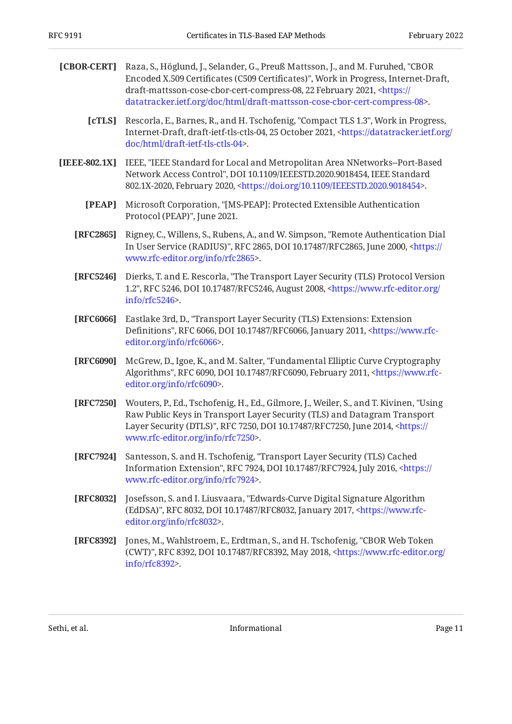<span id="page-10-10"></span><span id="page-10-8"></span><span id="page-10-6"></span><span id="page-10-5"></span><span id="page-10-2"></span><span id="page-10-1"></span><span id="page-10-0"></span>

| [CBOR-CERT]   | Raza, S., Höglund, J., Selander, G., Preuß Mattsson, J., and M. Furuhed, "CBOR<br>Encoded X.509 Certificates (C509 Certificates)", Work in Progress, Internet-Draft,<br>draft-mattsson-cose-cbor-cert-compress-08, 22 February 2021, <https: <br="">datatracker.ietf.org/doc/html/draft-mattsson-cose-cbor-cert-compress-08&gt;.</https:> |
|---------------|-------------------------------------------------------------------------------------------------------------------------------------------------------------------------------------------------------------------------------------------------------------------------------------------------------------------------------------------|
| [cTLS]        | Rescorla, E., Barnes, R., and H. Tschofenig, "Compact TLS 1.3", Work in Progress,<br>Internet-Draft, draft-ietf-tls-ctls-04, 25 October 2021, <https: <br="" datatracker.ietf.org="">doc/html/draft-ietf-tls-ctls-04&gt;.</https:>                                                                                                        |
| [IEEE-802.1X] | IEEE, "IEEE Standard for Local and Metropolitan Area NNetworks--Port-Based<br>Network Access Control", DOI 10.1109/IEEESTD.2020.9018454, IEEE Standard<br>802.1X-2020, February 2020, <https: 10.1109="" doi.org="" ieeestd.2020.9018454="">.</https:>                                                                                    |
| [PEAP]        | Microsoft Corporation, "[MS-PEAP]: Protected Extensible Authentication<br>Protocol (PEAP)", June 2021.                                                                                                                                                                                                                                    |
| [RFC2865]     | Rigney, C., Willens, S., Rubens, A., and W. Simpson, "Remote Authentication Dial<br>In User Service (RADIUS)", RFC 2865, DOI 10.17487/RFC2865, June 2000, <https: <br="">www.rfc-editor.org/info/rfc2865&gt;.</https:>                                                                                                                    |
| [RFC5246]     | Dierks, T. and E. Rescorla, "The Transport Layer Security (TLS) Protocol Version<br>1.2", RFC 5246, DOI 10.17487/RFC5246, August 2008, <https: <br="" www.rfc-editor.org="">info/rfc5246</https:>                                                                                                                                         |
| [RFC6066]     | Eastlake 3rd, D., "Transport Layer Security (TLS) Extensions: Extension<br>Definitions", RFC 6066, DOI 10.17487/RFC6066, January 2011, <https: www.rfc-<br="">editor.org/info/rfc6066&gt;.</https:>                                                                                                                                       |
| [RFC6090]     | McGrew, D., Igoe, K., and M. Salter, "Fundamental Elliptic Curve Cryptography<br>Algorithms", RFC 6090, DOI 10.17487/RFC6090, February 2011, <https: www.rfc-<br="">editor.org/info/rfc6090&gt;.</https:>                                                                                                                                 |
| [RFC7250]     | Wouters, P., Ed., Tschofenig, H., Ed., Gilmore, J., Weiler, S., and T. Kivinen, "Using<br>Raw Public Keys in Transport Layer Security (TLS) and Datagram Transport<br>Layer Security (DTLS)", RFC 7250, DOI 10.17487/RFC7250, June 2014, <https: <br="">www.rfc-editor.org/info/rfc7250&gt;.</https:>                                     |
| [RFC7924]     | Santesson, S. and H. Tschofenig, "Transport Layer Security (TLS) Cached<br>Information Extension", RFC 7924, DOI 10.17487/RFC7924, July 2016, <https: <br="">www.rfc-editor.org/info/rfc7924&gt;.</https:>                                                                                                                                |
| [RFC8032]     | Josefsson, S. and I. Liusvaara, "Edwards-Curve Digital Signature Algorithm<br>(EdDSA)", RFC 8032, DOI 10.17487/RFC8032, January 2017, <https: www.rfc-<br="">editor.org/info/rfc8032&gt;.</https:>                                                                                                                                        |
| [RFC8392]     | Jones, M., Wahlstroem, E., Erdtman, S., and H. Tschofenig, "CBOR Web Token<br>(CWT)", RFC 8392, DOI 10.17487/RFC8392, May 2018, <https: <br="" www.rfc-editor.org="">info/rfc8392&gt;.</https:>                                                                                                                                           |
|               |                                                                                                                                                                                                                                                                                                                                           |

<span id="page-10-11"></span><span id="page-10-9"></span><span id="page-10-7"></span><span id="page-10-4"></span><span id="page-10-3"></span>